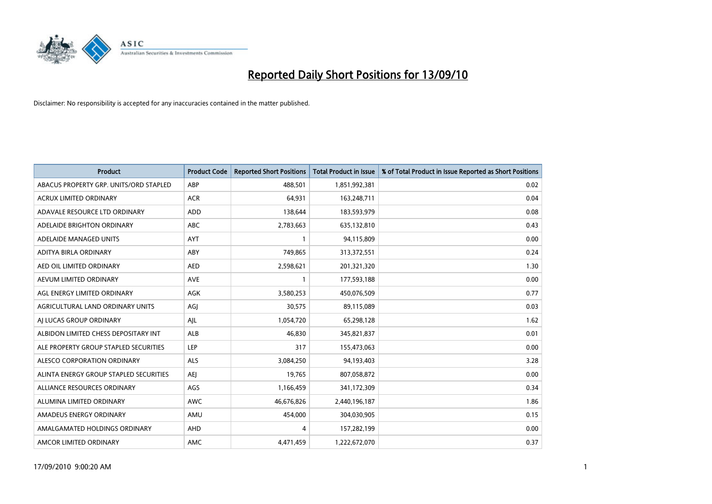

| <b>Product</b>                         | <b>Product Code</b> | <b>Reported Short Positions</b> | Total Product in Issue | % of Total Product in Issue Reported as Short Positions |
|----------------------------------------|---------------------|---------------------------------|------------------------|---------------------------------------------------------|
| ABACUS PROPERTY GRP. UNITS/ORD STAPLED | ABP                 | 488,501                         | 1,851,992,381          | 0.02                                                    |
| ACRUX LIMITED ORDINARY                 | <b>ACR</b>          | 64,931                          | 163,248,711            | 0.04                                                    |
| ADAVALE RESOURCE LTD ORDINARY          | <b>ADD</b>          | 138,644                         | 183,593,979            | 0.08                                                    |
| ADELAIDE BRIGHTON ORDINARY             | <b>ABC</b>          | 2,783,663                       | 635,132,810            | 0.43                                                    |
| ADELAIDE MANAGED UNITS                 | <b>AYT</b>          |                                 | 94,115,809             | 0.00                                                    |
| ADITYA BIRLA ORDINARY                  | ABY                 | 749,865                         | 313,372,551            | 0.24                                                    |
| AED OIL LIMITED ORDINARY               | <b>AED</b>          | 2,598,621                       | 201,321,320            | 1.30                                                    |
| AEVUM LIMITED ORDINARY                 | <b>AVE</b>          |                                 | 177,593,188            | 0.00                                                    |
| AGL ENERGY LIMITED ORDINARY            | AGK                 | 3,580,253                       | 450,076,509            | 0.77                                                    |
| AGRICULTURAL LAND ORDINARY UNITS       | AGJ                 | 30,575                          | 89,115,089             | 0.03                                                    |
| AJ LUCAS GROUP ORDINARY                | AJL                 | 1,054,720                       | 65,298,128             | 1.62                                                    |
| ALBIDON LIMITED CHESS DEPOSITARY INT   | <b>ALB</b>          | 46,830                          | 345,821,837            | 0.01                                                    |
| ALE PROPERTY GROUP STAPLED SECURITIES  | LEP                 | 317                             | 155,473,063            | 0.00                                                    |
| ALESCO CORPORATION ORDINARY            | ALS                 | 3,084,250                       | 94,193,403             | 3.28                                                    |
| ALINTA ENERGY GROUP STAPLED SECURITIES | <b>AEI</b>          | 19,765                          | 807,058,872            | 0.00                                                    |
| ALLIANCE RESOURCES ORDINARY            | AGS                 | 1,166,459                       | 341,172,309            | 0.34                                                    |
| ALUMINA LIMITED ORDINARY               | <b>AWC</b>          | 46,676,826                      | 2,440,196,187          | 1.86                                                    |
| AMADEUS ENERGY ORDINARY                | AMU                 | 454,000                         | 304,030,905            | 0.15                                                    |
| AMALGAMATED HOLDINGS ORDINARY          | <b>AHD</b>          | 4                               | 157,282,199            | 0.00                                                    |
| AMCOR LIMITED ORDINARY                 | <b>AMC</b>          | 4,471,459                       | 1,222,672,070          | 0.37                                                    |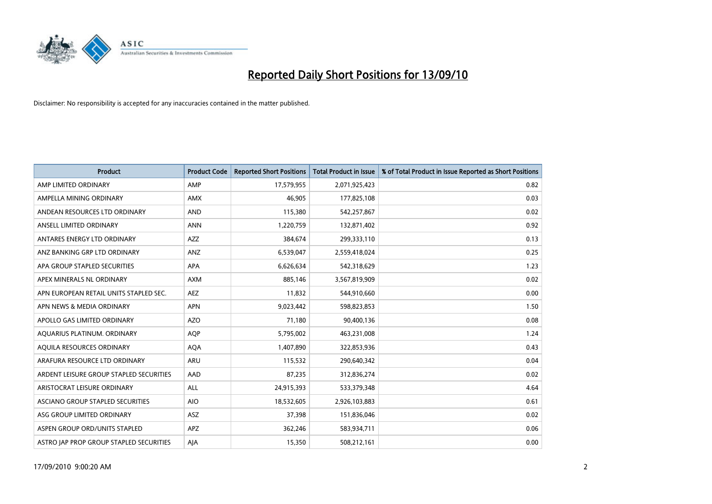

| <b>Product</b>                          | <b>Product Code</b> | <b>Reported Short Positions</b> | Total Product in Issue | % of Total Product in Issue Reported as Short Positions |
|-----------------------------------------|---------------------|---------------------------------|------------------------|---------------------------------------------------------|
| AMP LIMITED ORDINARY                    | AMP                 | 17,579,955                      | 2,071,925,423          | 0.82                                                    |
| AMPELLA MINING ORDINARY                 | <b>AMX</b>          | 46,905                          | 177,825,108            | 0.03                                                    |
| ANDEAN RESOURCES LTD ORDINARY           | <b>AND</b>          | 115,380                         | 542,257,867            | 0.02                                                    |
| ANSELL LIMITED ORDINARY                 | <b>ANN</b>          | 1,220,759                       | 132,871,402            | 0.92                                                    |
| ANTARES ENERGY LTD ORDINARY             | <b>AZZ</b>          | 384,674                         | 299,333,110            | 0.13                                                    |
| ANZ BANKING GRP LTD ORDINARY            | ANZ                 | 6,539,047                       | 2,559,418,024          | 0.25                                                    |
| APA GROUP STAPLED SECURITIES            | <b>APA</b>          | 6,626,634                       | 542,318,629            | 1.23                                                    |
| APEX MINERALS NL ORDINARY               | <b>AXM</b>          | 885,146                         | 3,567,819,909          | 0.02                                                    |
| APN EUROPEAN RETAIL UNITS STAPLED SEC.  | <b>AEZ</b>          | 11,832                          | 544,910,660            | 0.00                                                    |
| APN NEWS & MEDIA ORDINARY               | <b>APN</b>          | 9,023,442                       | 598,823,853            | 1.50                                                    |
| APOLLO GAS LIMITED ORDINARY             | <b>AZO</b>          | 71,180                          | 90,400,136             | 0.08                                                    |
| AQUARIUS PLATINUM. ORDINARY             | <b>AOP</b>          | 5,795,002                       | 463,231,008            | 1.24                                                    |
| AQUILA RESOURCES ORDINARY               | <b>AQA</b>          | 1,407,890                       | 322,853,936            | 0.43                                                    |
| ARAFURA RESOURCE LTD ORDINARY           | <b>ARU</b>          | 115,532                         | 290,640,342            | 0.04                                                    |
| ARDENT LEISURE GROUP STAPLED SECURITIES | AAD                 | 87,235                          | 312,836,274            | 0.02                                                    |
| ARISTOCRAT LEISURE ORDINARY             | <b>ALL</b>          | 24,915,393                      | 533,379,348            | 4.64                                                    |
| ASCIANO GROUP STAPLED SECURITIES        | <b>AIO</b>          | 18,532,605                      | 2,926,103,883          | 0.61                                                    |
| ASG GROUP LIMITED ORDINARY              | <b>ASZ</b>          | 37,398                          | 151,836,046            | 0.02                                                    |
| ASPEN GROUP ORD/UNITS STAPLED           | <b>APZ</b>          | 362,246                         | 583,934,711            | 0.06                                                    |
| ASTRO JAP PROP GROUP STAPLED SECURITIES | AJA                 | 15,350                          | 508,212,161            | 0.00                                                    |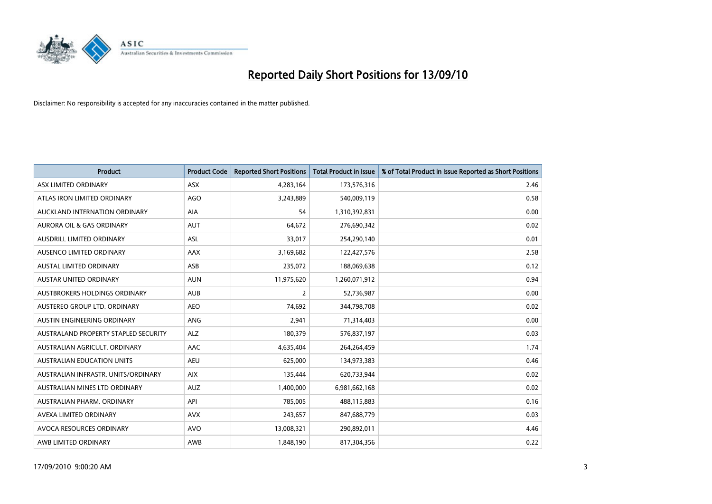

| <b>Product</b>                       | <b>Product Code</b> | <b>Reported Short Positions</b> | <b>Total Product in Issue</b> | % of Total Product in Issue Reported as Short Positions |
|--------------------------------------|---------------------|---------------------------------|-------------------------------|---------------------------------------------------------|
| ASX LIMITED ORDINARY                 | <b>ASX</b>          | 4,283,164                       | 173,576,316                   | 2.46                                                    |
| ATLAS IRON LIMITED ORDINARY          | <b>AGO</b>          | 3,243,889                       | 540,009,119                   | 0.58                                                    |
| AUCKLAND INTERNATION ORDINARY        | <b>AIA</b>          | 54                              | 1,310,392,831                 | 0.00                                                    |
| AURORA OIL & GAS ORDINARY            | <b>AUT</b>          | 64,672                          | 276,690,342                   | 0.02                                                    |
| AUSDRILL LIMITED ORDINARY            | <b>ASL</b>          | 33,017                          | 254,290,140                   | 0.01                                                    |
| AUSENCO LIMITED ORDINARY             | AAX                 | 3,169,682                       | 122,427,576                   | 2.58                                                    |
| <b>AUSTAL LIMITED ORDINARY</b>       | ASB                 | 235,072                         | 188,069,638                   | 0.12                                                    |
| AUSTAR UNITED ORDINARY               | <b>AUN</b>          | 11,975,620                      | 1,260,071,912                 | 0.94                                                    |
| AUSTBROKERS HOLDINGS ORDINARY        | <b>AUB</b>          | $\overline{2}$                  | 52,736,987                    | 0.00                                                    |
| AUSTEREO GROUP LTD. ORDINARY         | <b>AEO</b>          | 74,692                          | 344,798,708                   | 0.02                                                    |
| AUSTIN ENGINEERING ORDINARY          | <b>ANG</b>          | 2,941                           | 71,314,403                    | 0.00                                                    |
| AUSTRALAND PROPERTY STAPLED SECURITY | <b>ALZ</b>          | 180,379                         | 576,837,197                   | 0.03                                                    |
| AUSTRALIAN AGRICULT, ORDINARY        | AAC                 | 4,635,404                       | 264,264,459                   | 1.74                                                    |
| <b>AUSTRALIAN EDUCATION UNITS</b>    | <b>AEU</b>          | 625,000                         | 134,973,383                   | 0.46                                                    |
| AUSTRALIAN INFRASTR, UNITS/ORDINARY  | <b>AIX</b>          | 135,444                         | 620,733,944                   | 0.02                                                    |
| AUSTRALIAN MINES LTD ORDINARY        | <b>AUZ</b>          | 1,400,000                       | 6,981,662,168                 | 0.02                                                    |
| AUSTRALIAN PHARM, ORDINARY           | API                 | 785,005                         | 488,115,883                   | 0.16                                                    |
| AVEXA LIMITED ORDINARY               | <b>AVX</b>          | 243,657                         | 847,688,779                   | 0.03                                                    |
| AVOCA RESOURCES ORDINARY             | <b>AVO</b>          | 13,008,321                      | 290,892,011                   | 4.46                                                    |
| AWB LIMITED ORDINARY                 | AWB                 | 1,848,190                       | 817,304,356                   | 0.22                                                    |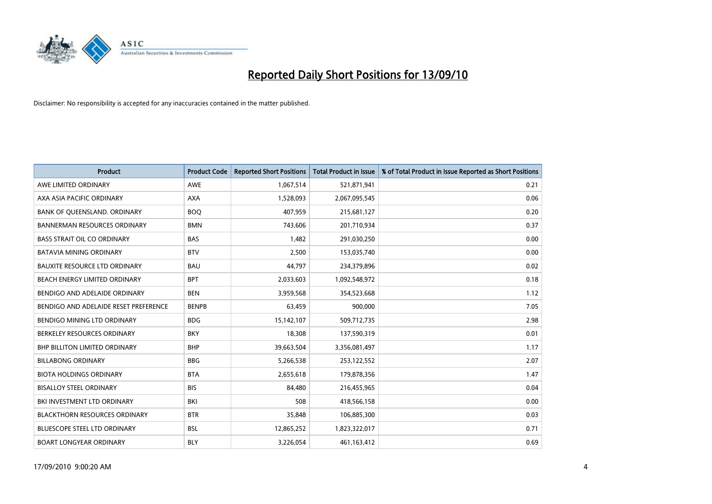

| <b>Product</b>                        | <b>Product Code</b> | <b>Reported Short Positions</b> | <b>Total Product in Issue</b> | % of Total Product in Issue Reported as Short Positions |
|---------------------------------------|---------------------|---------------------------------|-------------------------------|---------------------------------------------------------|
| AWE LIMITED ORDINARY                  | <b>AWE</b>          | 1,067,514                       | 521,871,941                   | 0.21                                                    |
| AXA ASIA PACIFIC ORDINARY             | <b>AXA</b>          | 1,528,093                       | 2,067,095,545                 | 0.06                                                    |
| BANK OF QUEENSLAND. ORDINARY          | <b>BOO</b>          | 407,959                         | 215,681,127                   | 0.20                                                    |
| <b>BANNERMAN RESOURCES ORDINARY</b>   | <b>BMN</b>          | 743,606                         | 201,710,934                   | 0.37                                                    |
| <b>BASS STRAIT OIL CO ORDINARY</b>    | <b>BAS</b>          | 1,482                           | 291,030,250                   | 0.00                                                    |
| <b>BATAVIA MINING ORDINARY</b>        | <b>BTV</b>          | 2,500                           | 153,035,740                   | 0.00                                                    |
| <b>BAUXITE RESOURCE LTD ORDINARY</b>  | <b>BAU</b>          | 44,797                          | 234,379,896                   | 0.02                                                    |
| BEACH ENERGY LIMITED ORDINARY         | <b>BPT</b>          | 2,033,603                       | 1,092,548,972                 | 0.18                                                    |
| BENDIGO AND ADELAIDE ORDINARY         | <b>BEN</b>          | 3,959,568                       | 354,523,668                   | 1.12                                                    |
| BENDIGO AND ADELAIDE RESET PREFERENCE | <b>BENPB</b>        | 63,459                          | 900,000                       | 7.05                                                    |
| BENDIGO MINING LTD ORDINARY           | <b>BDG</b>          | 15,142,107                      | 509,712,735                   | 2.98                                                    |
| BERKELEY RESOURCES ORDINARY           | <b>BKY</b>          | 18,308                          | 137,590,319                   | 0.01                                                    |
| <b>BHP BILLITON LIMITED ORDINARY</b>  | <b>BHP</b>          | 39,663,504                      | 3,356,081,497                 | 1.17                                                    |
| <b>BILLABONG ORDINARY</b>             | <b>BBG</b>          | 5,266,538                       | 253,122,552                   | 2.07                                                    |
| <b>BIOTA HOLDINGS ORDINARY</b>        | <b>BTA</b>          | 2,655,618                       | 179,878,356                   | 1.47                                                    |
| <b>BISALLOY STEEL ORDINARY</b>        | <b>BIS</b>          | 84,480                          | 216,455,965                   | 0.04                                                    |
| BKI INVESTMENT LTD ORDINARY           | BKI                 | 508                             | 418,566,158                   | 0.00                                                    |
| <b>BLACKTHORN RESOURCES ORDINARY</b>  | <b>BTR</b>          | 35,848                          | 106,885,300                   | 0.03                                                    |
| <b>BLUESCOPE STEEL LTD ORDINARY</b>   | <b>BSL</b>          | 12,865,252                      | 1,823,322,017                 | 0.71                                                    |
| <b>BOART LONGYEAR ORDINARY</b>        | <b>BLY</b>          | 3,226,054                       | 461,163,412                   | 0.69                                                    |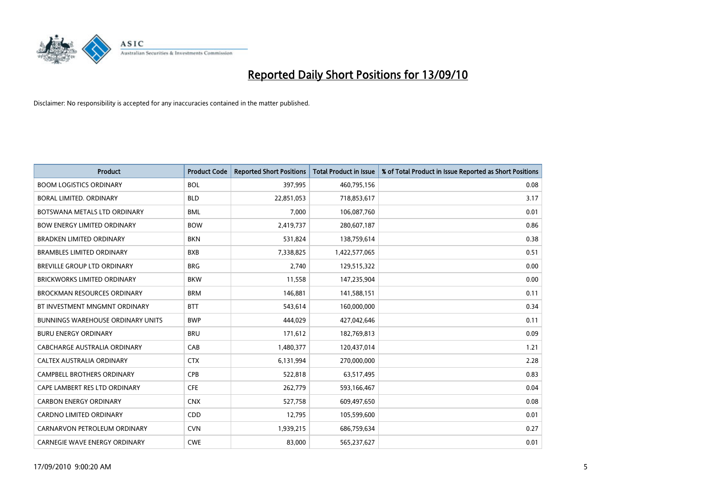

| <b>Product</b>                           | <b>Product Code</b> | <b>Reported Short Positions</b> | <b>Total Product in Issue</b> | % of Total Product in Issue Reported as Short Positions |
|------------------------------------------|---------------------|---------------------------------|-------------------------------|---------------------------------------------------------|
| <b>BOOM LOGISTICS ORDINARY</b>           | <b>BOL</b>          | 397.995                         | 460,795,156                   | 0.08                                                    |
| BORAL LIMITED. ORDINARY                  | <b>BLD</b>          | 22,851,053                      | 718,853,617                   | 3.17                                                    |
| BOTSWANA METALS LTD ORDINARY             | <b>BML</b>          | 7,000                           | 106,087,760                   | 0.01                                                    |
| <b>BOW ENERGY LIMITED ORDINARY</b>       | <b>BOW</b>          | 2,419,737                       | 280,607,187                   | 0.86                                                    |
| <b>BRADKEN LIMITED ORDINARY</b>          | <b>BKN</b>          | 531,824                         | 138,759,614                   | 0.38                                                    |
| <b>BRAMBLES LIMITED ORDINARY</b>         | <b>BXB</b>          | 7,338,825                       | 1,422,577,065                 | 0.51                                                    |
| <b>BREVILLE GROUP LTD ORDINARY</b>       | <b>BRG</b>          | 2,740                           | 129,515,322                   | 0.00                                                    |
| <b>BRICKWORKS LIMITED ORDINARY</b>       | <b>BKW</b>          | 11.558                          | 147,235,904                   | 0.00                                                    |
| <b>BROCKMAN RESOURCES ORDINARY</b>       | <b>BRM</b>          | 146,881                         | 141,588,151                   | 0.11                                                    |
| BT INVESTMENT MNGMNT ORDINARY            | <b>BTT</b>          | 543,614                         | 160,000,000                   | 0.34                                                    |
| <b>BUNNINGS WAREHOUSE ORDINARY UNITS</b> | <b>BWP</b>          | 444.029                         | 427,042,646                   | 0.11                                                    |
| <b>BURU ENERGY ORDINARY</b>              | <b>BRU</b>          | 171,612                         | 182,769,813                   | 0.09                                                    |
| CABCHARGE AUSTRALIA ORDINARY             | CAB                 | 1,480,377                       | 120,437,014                   | 1.21                                                    |
| CALTEX AUSTRALIA ORDINARY                | <b>CTX</b>          | 6,131,994                       | 270,000,000                   | 2.28                                                    |
| <b>CAMPBELL BROTHERS ORDINARY</b>        | <b>CPB</b>          | 522,818                         | 63,517,495                    | 0.83                                                    |
| CAPE LAMBERT RES LTD ORDINARY            | <b>CFE</b>          | 262,779                         | 593,166,467                   | 0.04                                                    |
| <b>CARBON ENERGY ORDINARY</b>            | <b>CNX</b>          | 527,758                         | 609,497,650                   | 0.08                                                    |
| <b>CARDNO LIMITED ORDINARY</b>           | CDD                 | 12,795                          | 105,599,600                   | 0.01                                                    |
| CARNARVON PETROLEUM ORDINARY             | <b>CVN</b>          | 1,939,215                       | 686,759,634                   | 0.27                                                    |
| <b>CARNEGIE WAVE ENERGY ORDINARY</b>     | <b>CWE</b>          | 83,000                          | 565,237,627                   | 0.01                                                    |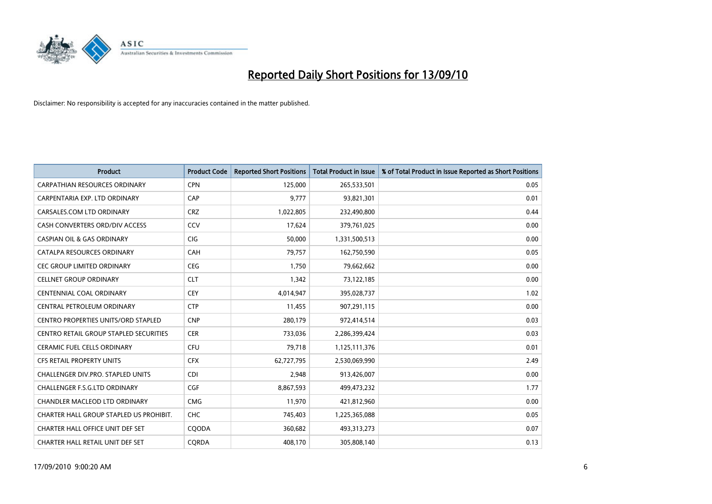

| <b>Product</b>                                | <b>Product Code</b> | <b>Reported Short Positions</b> | Total Product in Issue | % of Total Product in Issue Reported as Short Positions |
|-----------------------------------------------|---------------------|---------------------------------|------------------------|---------------------------------------------------------|
| <b>CARPATHIAN RESOURCES ORDINARY</b>          | <b>CPN</b>          | 125,000                         | 265,533,501            | 0.05                                                    |
| CARPENTARIA EXP. LTD ORDINARY                 | CAP                 | 9,777                           | 93,821,301             | 0.01                                                    |
| CARSALES.COM LTD ORDINARY                     | <b>CRZ</b>          | 1,022,805                       | 232,490,800            | 0.44                                                    |
| CASH CONVERTERS ORD/DIV ACCESS                | CCV                 | 17,624                          | 379,761,025            | 0.00                                                    |
| <b>CASPIAN OIL &amp; GAS ORDINARY</b>         | CIG                 | 50,000                          | 1,331,500,513          | 0.00                                                    |
| CATALPA RESOURCES ORDINARY                    | CAH                 | 79,757                          | 162,750,590            | 0.05                                                    |
| <b>CEC GROUP LIMITED ORDINARY</b>             | <b>CEG</b>          | 1,750                           | 79,662,662             | 0.00                                                    |
| <b>CELLNET GROUP ORDINARY</b>                 | <b>CLT</b>          | 1,342                           | 73,122,185             | 0.00                                                    |
| <b>CENTENNIAL COAL ORDINARY</b>               | <b>CEY</b>          | 4,014,947                       | 395,028,737            | 1.02                                                    |
| CENTRAL PETROLEUM ORDINARY                    | <b>CTP</b>          | 11,455                          | 907,291,115            | 0.00                                                    |
| CENTRO PROPERTIES UNITS/ORD STAPLED           | <b>CNP</b>          | 280,179                         | 972,414,514            | 0.03                                                    |
| <b>CENTRO RETAIL GROUP STAPLED SECURITIES</b> | <b>CER</b>          | 733,036                         | 2,286,399,424          | 0.03                                                    |
| CERAMIC FUEL CELLS ORDINARY                   | <b>CFU</b>          | 79,718                          | 1,125,111,376          | 0.01                                                    |
| <b>CFS RETAIL PROPERTY UNITS</b>              | <b>CFX</b>          | 62,727,795                      | 2,530,069,990          | 2.49                                                    |
| <b>CHALLENGER DIV.PRO. STAPLED UNITS</b>      | CDI                 | 2,948                           | 913,426,007            | 0.00                                                    |
| <b>CHALLENGER F.S.G.LTD ORDINARY</b>          | CGF                 | 8,867,593                       | 499,473,232            | 1.77                                                    |
| CHANDLER MACLEOD LTD ORDINARY                 | <b>CMG</b>          | 11,970                          | 421,812,960            | 0.00                                                    |
| CHARTER HALL GROUP STAPLED US PROHIBIT.       | <b>CHC</b>          | 745,403                         | 1,225,365,088          | 0.05                                                    |
| CHARTER HALL OFFICE UNIT DEF SET              | COODA               | 360,682                         | 493,313,273            | 0.07                                                    |
| CHARTER HALL RETAIL UNIT DEF SET              | CORDA               | 408,170                         | 305,808,140            | 0.13                                                    |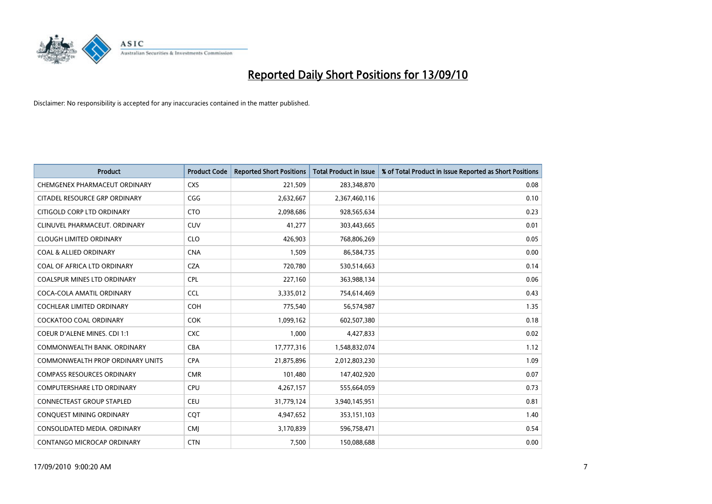

| <b>Product</b>                      | <b>Product Code</b> | <b>Reported Short Positions</b> | <b>Total Product in Issue</b> | % of Total Product in Issue Reported as Short Positions |
|-------------------------------------|---------------------|---------------------------------|-------------------------------|---------------------------------------------------------|
| CHEMGENEX PHARMACEUT ORDINARY       | <b>CXS</b>          | 221,509                         | 283,348,870                   | 0.08                                                    |
| CITADEL RESOURCE GRP ORDINARY       | CGG                 | 2,632,667                       | 2,367,460,116                 | 0.10                                                    |
| CITIGOLD CORP LTD ORDINARY          | <b>CTO</b>          | 2,098,686                       | 928,565,634                   | 0.23                                                    |
| CLINUVEL PHARMACEUT. ORDINARY       | <b>CUV</b>          | 41,277                          | 303,443,665                   | 0.01                                                    |
| <b>CLOUGH LIMITED ORDINARY</b>      | <b>CLO</b>          | 426,903                         | 768,806,269                   | 0.05                                                    |
| <b>COAL &amp; ALLIED ORDINARY</b>   | <b>CNA</b>          | 1,509                           | 86,584,735                    | 0.00                                                    |
| COAL OF AFRICA LTD ORDINARY         | <b>CZA</b>          | 720,780                         | 530,514,663                   | 0.14                                                    |
| COALSPUR MINES LTD ORDINARY         | <b>CPL</b>          | 227,160                         | 363,988,134                   | 0.06                                                    |
| COCA-COLA AMATIL ORDINARY           | <b>CCL</b>          | 3,335,012                       | 754,614,469                   | 0.43                                                    |
| <b>COCHLEAR LIMITED ORDINARY</b>    | <b>COH</b>          | 775,540                         | 56,574,987                    | 1.35                                                    |
| COCKATOO COAL ORDINARY              | <b>COK</b>          | 1,099,162                       | 602,507,380                   | 0.18                                                    |
| <b>COEUR D'ALENE MINES. CDI 1:1</b> | <b>CXC</b>          | 1,000                           | 4,427,833                     | 0.02                                                    |
| COMMONWEALTH BANK, ORDINARY         | CBA                 | 17,777,316                      | 1,548,832,074                 | 1.12                                                    |
| COMMONWEALTH PROP ORDINARY UNITS    | <b>CPA</b>          | 21,875,896                      | 2,012,803,230                 | 1.09                                                    |
| <b>COMPASS RESOURCES ORDINARY</b>   | <b>CMR</b>          | 101,480                         | 147,402,920                   | 0.07                                                    |
| <b>COMPUTERSHARE LTD ORDINARY</b>   | <b>CPU</b>          | 4,267,157                       | 555,664,059                   | 0.73                                                    |
| CONNECTEAST GROUP STAPLED           | CEU                 | 31,779,124                      | 3,940,145,951                 | 0.81                                                    |
| CONQUEST MINING ORDINARY            | CQT                 | 4,947,652                       | 353,151,103                   | 1.40                                                    |
| CONSOLIDATED MEDIA, ORDINARY        | <b>CMI</b>          | 3,170,839                       | 596,758,471                   | 0.54                                                    |
| CONTANGO MICROCAP ORDINARY          | <b>CTN</b>          | 7,500                           | 150,088,688                   | 0.00                                                    |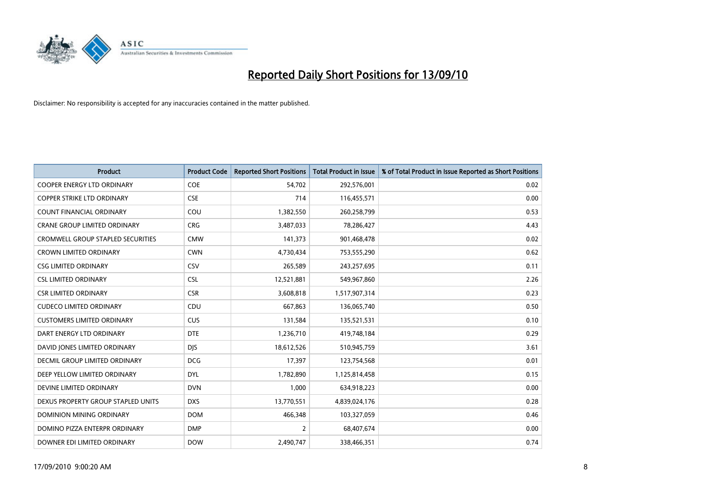

| <b>Product</b>                           | <b>Product Code</b> | <b>Reported Short Positions</b> | <b>Total Product in Issue</b> | % of Total Product in Issue Reported as Short Positions |
|------------------------------------------|---------------------|---------------------------------|-------------------------------|---------------------------------------------------------|
| <b>COOPER ENERGY LTD ORDINARY</b>        | <b>COE</b>          | 54,702                          | 292,576,001                   | 0.02                                                    |
| COPPER STRIKE LTD ORDINARY               | <b>CSE</b>          | 714                             | 116,455,571                   | 0.00                                                    |
| <b>COUNT FINANCIAL ORDINARY</b>          | COU                 | 1,382,550                       | 260,258,799                   | 0.53                                                    |
| CRANE GROUP LIMITED ORDINARY             | <b>CRG</b>          | 3,487,033                       | 78,286,427                    | 4.43                                                    |
| <b>CROMWELL GROUP STAPLED SECURITIES</b> | <b>CMW</b>          | 141,373                         | 901,468,478                   | 0.02                                                    |
| <b>CROWN LIMITED ORDINARY</b>            | <b>CWN</b>          | 4,730,434                       | 753,555,290                   | 0.62                                                    |
| <b>CSG LIMITED ORDINARY</b>              | CSV                 | 265,589                         | 243,257,695                   | 0.11                                                    |
| <b>CSL LIMITED ORDINARY</b>              | <b>CSL</b>          | 12,521,881                      | 549,967,860                   | 2.26                                                    |
| <b>CSR LIMITED ORDINARY</b>              | <b>CSR</b>          | 3,608,818                       | 1,517,907,314                 | 0.23                                                    |
| <b>CUDECO LIMITED ORDINARY</b>           | CDU                 | 667,863                         | 136,065,740                   | 0.50                                                    |
| <b>CUSTOMERS LIMITED ORDINARY</b>        | CUS                 | 131,584                         | 135,521,531                   | 0.10                                                    |
| DART ENERGY LTD ORDINARY                 | <b>DTE</b>          | 1,236,710                       | 419,748,184                   | 0.29                                                    |
| DAVID JONES LIMITED ORDINARY             | <b>DJS</b>          | 18,612,526                      | 510,945,759                   | 3.61                                                    |
| DECMIL GROUP LIMITED ORDINARY            | <b>DCG</b>          | 17,397                          | 123,754,568                   | 0.01                                                    |
| DEEP YELLOW LIMITED ORDINARY             | <b>DYL</b>          | 1,782,890                       | 1,125,814,458                 | 0.15                                                    |
| DEVINE LIMITED ORDINARY                  | <b>DVN</b>          | 1,000                           | 634,918,223                   | 0.00                                                    |
| DEXUS PROPERTY GROUP STAPLED UNITS       | <b>DXS</b>          | 13,770,551                      | 4,839,024,176                 | 0.28                                                    |
| DOMINION MINING ORDINARY                 | <b>DOM</b>          | 466,348                         | 103,327,059                   | 0.46                                                    |
| DOMINO PIZZA ENTERPR ORDINARY            | <b>DMP</b>          | 2                               | 68,407,674                    | 0.00                                                    |
| DOWNER EDI LIMITED ORDINARY              | <b>DOW</b>          | 2,490,747                       | 338,466,351                   | 0.74                                                    |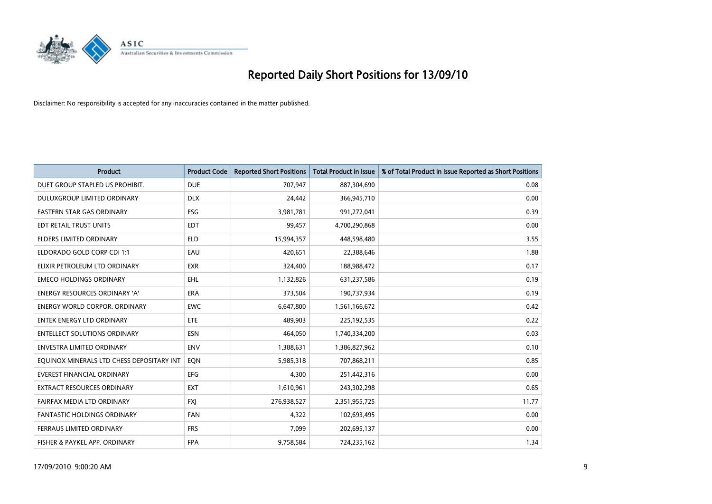

| <b>Product</b>                            | <b>Product Code</b> | <b>Reported Short Positions</b> | Total Product in Issue | % of Total Product in Issue Reported as Short Positions |
|-------------------------------------------|---------------------|---------------------------------|------------------------|---------------------------------------------------------|
| DUET GROUP STAPLED US PROHIBIT.           | <b>DUE</b>          | 707,947                         | 887,304,690            | 0.08                                                    |
| <b>DULUXGROUP LIMITED ORDINARY</b>        | <b>DLX</b>          | 24.442                          | 366,945,710            | 0.00                                                    |
| <b>EASTERN STAR GAS ORDINARY</b>          | <b>ESG</b>          | 3,981,781                       | 991,272,041            | 0.39                                                    |
| EDT RETAIL TRUST UNITS                    | <b>EDT</b>          | 99,457                          | 4,700,290,868          | 0.00                                                    |
| <b>ELDERS LIMITED ORDINARY</b>            | <b>ELD</b>          | 15,994,357                      | 448,598,480            | 3.55                                                    |
| ELDORADO GOLD CORP CDI 1:1                | EAU                 | 420,651                         | 22,388,646             | 1.88                                                    |
| ELIXIR PETROLEUM LTD ORDINARY             | <b>EXR</b>          | 324.400                         | 188,988,472            | 0.17                                                    |
| <b>EMECO HOLDINGS ORDINARY</b>            | <b>EHL</b>          | 1,132,826                       | 631,237,586            | 0.19                                                    |
| ENERGY RESOURCES ORDINARY 'A'             | <b>ERA</b>          | 373,504                         | 190,737,934            | 0.19                                                    |
| <b>ENERGY WORLD CORPOR, ORDINARY</b>      | <b>EWC</b>          | 6,647,800                       | 1,561,166,672          | 0.42                                                    |
| <b>ENTEK ENERGY LTD ORDINARY</b>          | <b>ETE</b>          | 489.903                         | 225,192,535            | 0.22                                                    |
| <b>ENTELLECT SOLUTIONS ORDINARY</b>       | <b>ESN</b>          | 464,050                         | 1,740,334,200          | 0.03                                                    |
| <b>ENVESTRA LIMITED ORDINARY</b>          | <b>ENV</b>          | 1,388,631                       | 1,386,827,962          | 0.10                                                    |
| EOUINOX MINERALS LTD CHESS DEPOSITARY INT | EON                 | 5,985,318                       | 707,868,211            | 0.85                                                    |
| <b>EVEREST FINANCIAL ORDINARY</b>         | EFG                 | 4,300                           | 251,442,316            | 0.00                                                    |
| <b>EXTRACT RESOURCES ORDINARY</b>         | <b>EXT</b>          | 1,610,961                       | 243,302,298            | 0.65                                                    |
| FAIRFAX MEDIA LTD ORDINARY                | <b>FXJ</b>          | 276,938,527                     | 2,351,955,725          | 11.77                                                   |
| FANTASTIC HOLDINGS ORDINARY               | <b>FAN</b>          | 4,322                           | 102,693,495            | 0.00                                                    |
| FERRAUS LIMITED ORDINARY                  | <b>FRS</b>          | 7,099                           | 202,695,137            | 0.00                                                    |
| FISHER & PAYKEL APP. ORDINARY             | <b>FPA</b>          | 9,758,584                       | 724,235,162            | 1.34                                                    |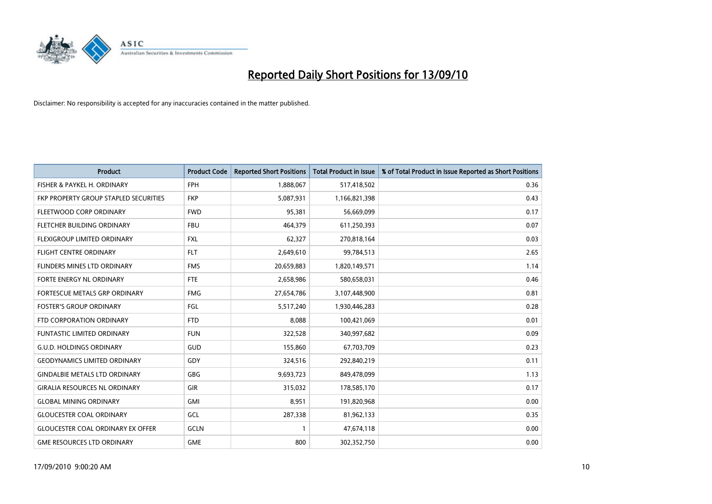

| <b>Product</b>                           | <b>Product Code</b> | <b>Reported Short Positions</b> | Total Product in Issue | % of Total Product in Issue Reported as Short Positions |
|------------------------------------------|---------------------|---------------------------------|------------------------|---------------------------------------------------------|
| FISHER & PAYKEL H. ORDINARY              | <b>FPH</b>          | 1,888,067                       | 517,418,502            | 0.36                                                    |
| FKP PROPERTY GROUP STAPLED SECURITIES    | <b>FKP</b>          | 5,087,931                       | 1,166,821,398          | 0.43                                                    |
| FLEETWOOD CORP ORDINARY                  | <b>FWD</b>          | 95,381                          | 56,669,099             | 0.17                                                    |
| FLETCHER BUILDING ORDINARY               | <b>FBU</b>          | 464,379                         | 611,250,393            | 0.07                                                    |
| FLEXIGROUP LIMITED ORDINARY              | <b>FXL</b>          | 62,327                          | 270,818,164            | 0.03                                                    |
| <b>FLIGHT CENTRE ORDINARY</b>            | <b>FLT</b>          | 2,649,610                       | 99,784,513             | 2.65                                                    |
| <b>FLINDERS MINES LTD ORDINARY</b>       | <b>FMS</b>          | 20,659,883                      | 1,820,149,571          | 1.14                                                    |
| FORTE ENERGY NL ORDINARY                 | <b>FTE</b>          | 2,658,986                       | 580,658,031            | 0.46                                                    |
| FORTESCUE METALS GRP ORDINARY            | <b>FMG</b>          | 27,654,786                      | 3,107,448,900          | 0.81                                                    |
| <b>FOSTER'S GROUP ORDINARY</b>           | FGL                 | 5,517,240                       | 1,930,446,283          | 0.28                                                    |
| FTD CORPORATION ORDINARY                 | <b>FTD</b>          | 8,088                           | 100,421,069            | 0.01                                                    |
| <b>FUNTASTIC LIMITED ORDINARY</b>        | <b>FUN</b>          | 322,528                         | 340,997,682            | 0.09                                                    |
| <b>G.U.D. HOLDINGS ORDINARY</b>          | <b>GUD</b>          | 155,860                         | 67,703,709             | 0.23                                                    |
| <b>GEODYNAMICS LIMITED ORDINARY</b>      | GDY                 | 324,516                         | 292,840,219            | 0.11                                                    |
| <b>GINDALBIE METALS LTD ORDINARY</b>     | <b>GBG</b>          | 9,693,723                       | 849,478,099            | 1.13                                                    |
| <b>GIRALIA RESOURCES NL ORDINARY</b>     | <b>GIR</b>          | 315,032                         | 178,585,170            | 0.17                                                    |
| <b>GLOBAL MINING ORDINARY</b>            | <b>GMI</b>          | 8,951                           | 191,820,968            | 0.00                                                    |
| <b>GLOUCESTER COAL ORDINARY</b>          | GCL                 | 287,338                         | 81,962,133             | 0.35                                                    |
| <b>GLOUCESTER COAL ORDINARY EX OFFER</b> | GCLN                |                                 | 47,674,118             | 0.00                                                    |
| <b>GME RESOURCES LTD ORDINARY</b>        | <b>GME</b>          | 800                             | 302,352,750            | 0.00                                                    |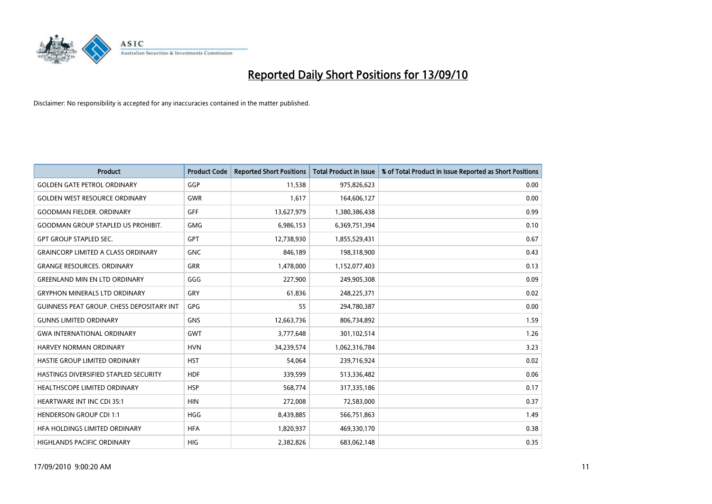

| <b>Product</b>                                   | <b>Product Code</b> | <b>Reported Short Positions</b> | Total Product in Issue | % of Total Product in Issue Reported as Short Positions |
|--------------------------------------------------|---------------------|---------------------------------|------------------------|---------------------------------------------------------|
| <b>GOLDEN GATE PETROL ORDINARY</b>               | GGP                 | 11,538                          | 975,826,623            | 0.00                                                    |
| <b>GOLDEN WEST RESOURCE ORDINARY</b>             | <b>GWR</b>          | 1,617                           | 164,606,127            | 0.00                                                    |
| GOODMAN FIELDER. ORDINARY                        | <b>GFF</b>          | 13,627,979                      | 1,380,386,438          | 0.99                                                    |
| <b>GOODMAN GROUP STAPLED US PROHIBIT.</b>        | <b>GMG</b>          | 6,986,153                       | 6,369,751,394          | 0.10                                                    |
| <b>GPT GROUP STAPLED SEC.</b>                    | <b>GPT</b>          | 12,738,930                      | 1,855,529,431          | 0.67                                                    |
| <b>GRAINCORP LIMITED A CLASS ORDINARY</b>        | <b>GNC</b>          | 846,189                         | 198,318,900            | 0.43                                                    |
| <b>GRANGE RESOURCES, ORDINARY</b>                | <b>GRR</b>          | 1,478,000                       | 1,152,077,403          | 0.13                                                    |
| <b>GREENLAND MIN EN LTD ORDINARY</b>             | GGG                 | 227,900                         | 249,905,308            | 0.09                                                    |
| <b>GRYPHON MINERALS LTD ORDINARY</b>             | GRY                 | 61,836                          | 248,225,371            | 0.02                                                    |
| <b>GUINNESS PEAT GROUP. CHESS DEPOSITARY INT</b> | GPG                 | 55                              | 294,780,387            | 0.00                                                    |
| <b>GUNNS LIMITED ORDINARY</b>                    | <b>GNS</b>          | 12,663,736                      | 806,734,892            | 1.59                                                    |
| <b>GWA INTERNATIONAL ORDINARY</b>                | <b>GWT</b>          | 3,777,648                       | 301,102,514            | 1.26                                                    |
| HARVEY NORMAN ORDINARY                           | <b>HVN</b>          | 34,239,574                      | 1,062,316,784          | 3.23                                                    |
| HASTIE GROUP LIMITED ORDINARY                    | <b>HST</b>          | 54,064                          | 239,716,924            | 0.02                                                    |
| HASTINGS DIVERSIFIED STAPLED SECURITY            | <b>HDF</b>          | 339,599                         | 513,336,482            | 0.06                                                    |
| <b>HEALTHSCOPE LIMITED ORDINARY</b>              | <b>HSP</b>          | 568,774                         | 317,335,186            | 0.17                                                    |
| HEARTWARE INT INC CDI 35:1                       | <b>HIN</b>          | 272,008                         | 72,583,000             | 0.37                                                    |
| <b>HENDERSON GROUP CDI 1:1</b>                   | <b>HGG</b>          | 8,439,885                       | 566,751,863            | 1.49                                                    |
| HFA HOLDINGS LIMITED ORDINARY                    | <b>HFA</b>          | 1,820,937                       | 469,330,170            | 0.38                                                    |
| HIGHLANDS PACIFIC ORDINARY                       | <b>HIG</b>          | 2,382,826                       | 683,062,148            | 0.35                                                    |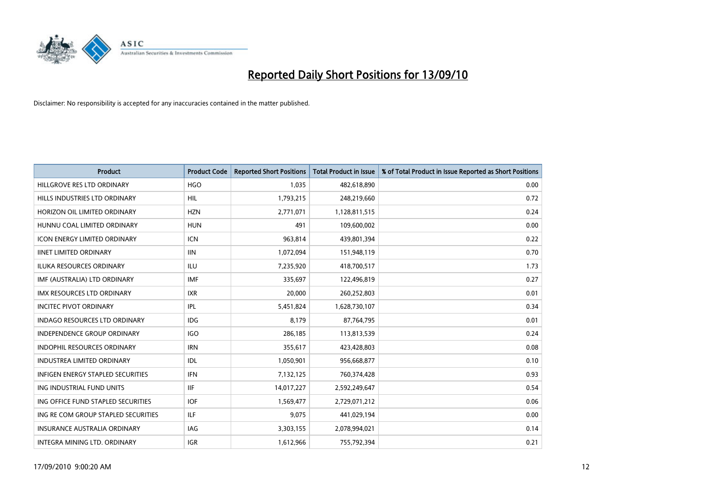

| <b>Product</b>                           | <b>Product Code</b> | <b>Reported Short Positions</b> | <b>Total Product in Issue</b> | % of Total Product in Issue Reported as Short Positions |
|------------------------------------------|---------------------|---------------------------------|-------------------------------|---------------------------------------------------------|
| HILLGROVE RES LTD ORDINARY               | <b>HGO</b>          | 1,035                           | 482,618,890                   | 0.00                                                    |
| HILLS INDUSTRIES LTD ORDINARY            | HIL                 | 1,793,215                       | 248,219,660                   | 0.72                                                    |
| HORIZON OIL LIMITED ORDINARY             | <b>HZN</b>          | 2,771,071                       | 1,128,811,515                 | 0.24                                                    |
| HUNNU COAL LIMITED ORDINARY              | <b>HUN</b>          | 491                             | 109,600,002                   | 0.00                                                    |
| <b>ICON ENERGY LIMITED ORDINARY</b>      | <b>ICN</b>          | 963,814                         | 439,801,394                   | 0.22                                                    |
| <b>IINET LIMITED ORDINARY</b>            | <b>IIN</b>          | 1,072,094                       | 151,948,119                   | 0.70                                                    |
| <b>ILUKA RESOURCES ORDINARY</b>          | ILU                 | 7,235,920                       | 418,700,517                   | 1.73                                                    |
| IMF (AUSTRALIA) LTD ORDINARY             | <b>IMF</b>          | 335,697                         | 122,496,819                   | 0.27                                                    |
| <b>IMX RESOURCES LTD ORDINARY</b>        | <b>IXR</b>          | 20,000                          | 260,252,803                   | 0.01                                                    |
| <b>INCITEC PIVOT ORDINARY</b>            | <b>IPL</b>          | 5,451,824                       | 1,628,730,107                 | 0.34                                                    |
| INDAGO RESOURCES LTD ORDINARY            | <b>IDG</b>          | 8,179                           | 87,764,795                    | 0.01                                                    |
| <b>INDEPENDENCE GROUP ORDINARY</b>       | <b>IGO</b>          | 286,185                         | 113,813,539                   | 0.24                                                    |
| INDOPHIL RESOURCES ORDINARY              | <b>IRN</b>          | 355,617                         | 423,428,803                   | 0.08                                                    |
| <b>INDUSTREA LIMITED ORDINARY</b>        | IDL                 | 1,050,901                       | 956,668,877                   | 0.10                                                    |
| <b>INFIGEN ENERGY STAPLED SECURITIES</b> | <b>IFN</b>          | 7,132,125                       | 760,374,428                   | 0.93                                                    |
| ING INDUSTRIAL FUND UNITS                | <b>IIF</b>          | 14,017,227                      | 2,592,249,647                 | 0.54                                                    |
| ING OFFICE FUND STAPLED SECURITIES       | <b>IOF</b>          | 1,569,477                       | 2,729,071,212                 | 0.06                                                    |
| ING RE COM GROUP STAPLED SECURITIES      | <b>ILF</b>          | 9,075                           | 441,029,194                   | 0.00                                                    |
| <b>INSURANCE AUSTRALIA ORDINARY</b>      | IAG                 | 3,303,155                       | 2,078,994,021                 | 0.14                                                    |
| INTEGRA MINING LTD. ORDINARY             | <b>IGR</b>          | 1,612,966                       | 755,792,394                   | 0.21                                                    |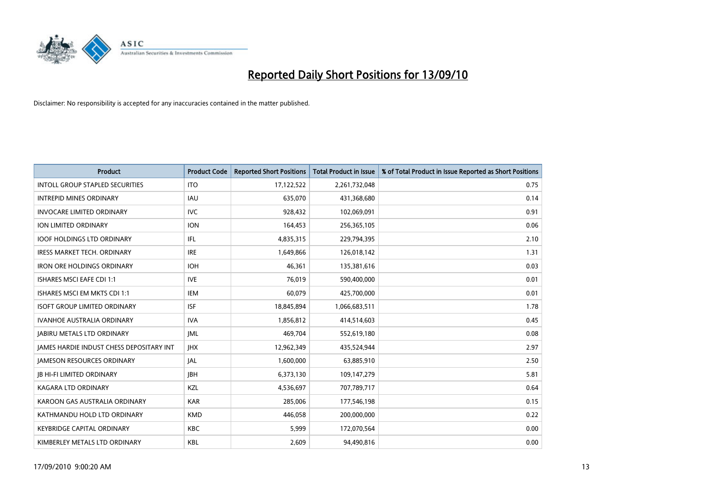

| <b>Product</b>                                  | <b>Product Code</b> | <b>Reported Short Positions</b> | <b>Total Product in Issue</b> | % of Total Product in Issue Reported as Short Positions |
|-------------------------------------------------|---------------------|---------------------------------|-------------------------------|---------------------------------------------------------|
| <b>INTOLL GROUP STAPLED SECURITIES</b>          | <b>ITO</b>          | 17,122,522                      | 2,261,732,048                 | 0.75                                                    |
| <b>INTREPID MINES ORDINARY</b>                  | <b>IAU</b>          | 635,070                         | 431,368,680                   | 0.14                                                    |
| <b>INVOCARE LIMITED ORDINARY</b>                | <b>IVC</b>          | 928,432                         | 102,069,091                   | 0.91                                                    |
| ION LIMITED ORDINARY                            | <b>ION</b>          | 164,453                         | 256,365,105                   | 0.06                                                    |
| <b>IOOF HOLDINGS LTD ORDINARY</b>               | IFL.                | 4,835,315                       | 229,794,395                   | 2.10                                                    |
| <b>IRESS MARKET TECH. ORDINARY</b>              | <b>IRE</b>          | 1,649,866                       | 126,018,142                   | 1.31                                                    |
| <b>IRON ORE HOLDINGS ORDINARY</b>               | <b>IOH</b>          | 46,361                          | 135,381,616                   | 0.03                                                    |
| ISHARES MSCI EAFE CDI 1:1                       | <b>IVE</b>          | 76,019                          | 590,400,000                   | 0.01                                                    |
| ISHARES MSCI EM MKTS CDI 1:1                    | <b>IEM</b>          | 60,079                          | 425,700,000                   | 0.01                                                    |
| <b>ISOFT GROUP LIMITED ORDINARY</b>             | <b>ISF</b>          | 18,845,894                      | 1,066,683,511                 | 1.78                                                    |
| <b>IVANHOE AUSTRALIA ORDINARY</b>               | <b>IVA</b>          | 1,856,812                       | 414,514,603                   | 0.45                                                    |
| <b>JABIRU METALS LTD ORDINARY</b>               | <b>JML</b>          | 469,704                         | 552,619,180                   | 0.08                                                    |
| <b>JAMES HARDIE INDUST CHESS DEPOSITARY INT</b> | <b>IHX</b>          | 12,962,349                      | 435,524,944                   | 2.97                                                    |
| <b>JAMESON RESOURCES ORDINARY</b>               | <b>JAL</b>          | 1,600,000                       | 63,885,910                    | 2.50                                                    |
| <b>JB HI-FI LIMITED ORDINARY</b>                | <b>IBH</b>          | 6,373,130                       | 109,147,279                   | 5.81                                                    |
| <b>KAGARA LTD ORDINARY</b>                      | KZL                 | 4,536,697                       | 707,789,717                   | 0.64                                                    |
| KAROON GAS AUSTRALIA ORDINARY                   | <b>KAR</b>          | 285,006                         | 177,546,198                   | 0.15                                                    |
| KATHMANDU HOLD LTD ORDINARY                     | <b>KMD</b>          | 446,058                         | 200,000,000                   | 0.22                                                    |
| <b>KEYBRIDGE CAPITAL ORDINARY</b>               | <b>KBC</b>          | 5,999                           | 172,070,564                   | 0.00                                                    |
| KIMBERLEY METALS LTD ORDINARY                   | <b>KBL</b>          | 2,609                           | 94,490,816                    | 0.00                                                    |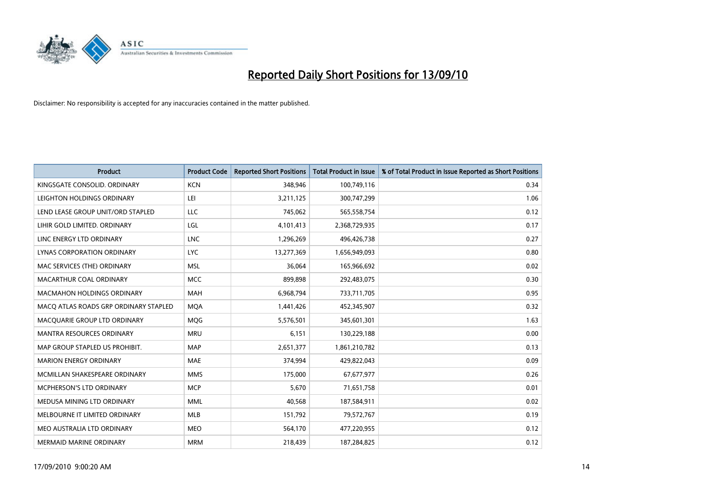

| <b>Product</b>                        | <b>Product Code</b> | <b>Reported Short Positions</b> | <b>Total Product in Issue</b> | % of Total Product in Issue Reported as Short Positions |
|---------------------------------------|---------------------|---------------------------------|-------------------------------|---------------------------------------------------------|
| KINGSGATE CONSOLID. ORDINARY          | <b>KCN</b>          | 348,946                         | 100,749,116                   | 0.34                                                    |
| LEIGHTON HOLDINGS ORDINARY            | LEI                 | 3,211,125                       | 300,747,299                   | 1.06                                                    |
| LEND LEASE GROUP UNIT/ORD STAPLED     | LLC                 | 745.062                         | 565,558,754                   | 0.12                                                    |
| LIHIR GOLD LIMITED. ORDINARY          | LGL                 | 4,101,413                       | 2,368,729,935                 | 0.17                                                    |
| LINC ENERGY LTD ORDINARY              | <b>LNC</b>          | 1,296,269                       | 496,426,738                   | 0.27                                                    |
| LYNAS CORPORATION ORDINARY            | <b>LYC</b>          | 13,277,369                      | 1,656,949,093                 | 0.80                                                    |
| MAC SERVICES (THE) ORDINARY           | <b>MSL</b>          | 36.064                          | 165,966,692                   | 0.02                                                    |
| MACARTHUR COAL ORDINARY               | <b>MCC</b>          | 899,898                         | 292,483,075                   | 0.30                                                    |
| <b>MACMAHON HOLDINGS ORDINARY</b>     | <b>MAH</b>          | 6,968,794                       | 733,711,705                   | 0.95                                                    |
| MACO ATLAS ROADS GRP ORDINARY STAPLED | <b>MOA</b>          | 1,441,426                       | 452,345,907                   | 0.32                                                    |
| MACQUARIE GROUP LTD ORDINARY          | <b>MOG</b>          | 5,576,501                       | 345,601,301                   | 1.63                                                    |
| <b>MANTRA RESOURCES ORDINARY</b>      | <b>MRU</b>          | 6,151                           | 130,229,188                   | 0.00                                                    |
| MAP GROUP STAPLED US PROHIBIT.        | <b>MAP</b>          | 2,651,377                       | 1,861,210,782                 | 0.13                                                    |
| <b>MARION ENERGY ORDINARY</b>         | <b>MAE</b>          | 374,994                         | 429,822,043                   | 0.09                                                    |
| MCMILLAN SHAKESPEARE ORDINARY         | <b>MMS</b>          | 175,000                         | 67,677,977                    | 0.26                                                    |
| MCPHERSON'S LTD ORDINARY              | <b>MCP</b>          | 5,670                           | 71,651,758                    | 0.01                                                    |
| MEDUSA MINING LTD ORDINARY            | <b>MML</b>          | 40,568                          | 187,584,911                   | 0.02                                                    |
| MELBOURNE IT LIMITED ORDINARY         | <b>MLB</b>          | 151,792                         | 79,572,767                    | 0.19                                                    |
| MEO AUSTRALIA LTD ORDINARY            | <b>MEO</b>          | 564,170                         | 477,220,955                   | 0.12                                                    |
| MERMAID MARINE ORDINARY               | <b>MRM</b>          | 218,439                         | 187,284,825                   | 0.12                                                    |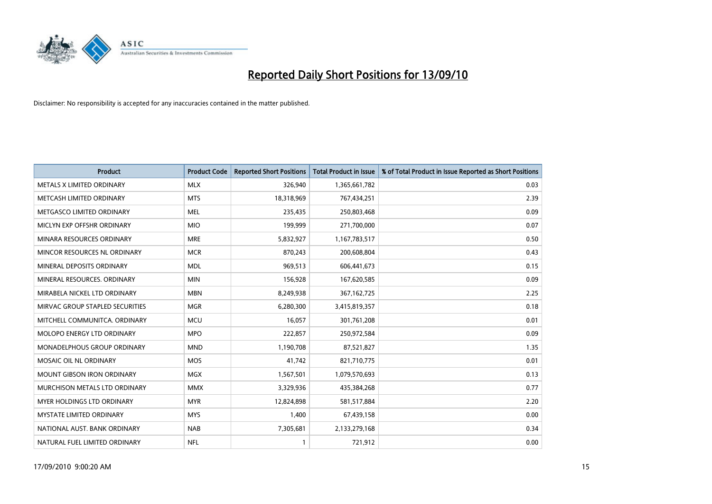

| <b>Product</b>                    | <b>Product Code</b> | <b>Reported Short Positions</b> | <b>Total Product in Issue</b> | % of Total Product in Issue Reported as Short Positions |
|-----------------------------------|---------------------|---------------------------------|-------------------------------|---------------------------------------------------------|
| METALS X LIMITED ORDINARY         | <b>MLX</b>          | 326,940                         | 1,365,661,782                 | 0.03                                                    |
| METCASH LIMITED ORDINARY          | <b>MTS</b>          | 18,318,969                      | 767,434,251                   | 2.39                                                    |
| METGASCO LIMITED ORDINARY         | <b>MEL</b>          | 235,435                         | 250,803,468                   | 0.09                                                    |
| MICLYN EXP OFFSHR ORDINARY        | <b>MIO</b>          | 199,999                         | 271,700,000                   | 0.07                                                    |
| MINARA RESOURCES ORDINARY         | <b>MRE</b>          | 5,832,927                       | 1,167,783,517                 | 0.50                                                    |
| MINCOR RESOURCES NL ORDINARY      | <b>MCR</b>          | 870,243                         | 200,608,804                   | 0.43                                                    |
| MINERAL DEPOSITS ORDINARY         | <b>MDL</b>          | 969,513                         | 606,441,673                   | 0.15                                                    |
| MINERAL RESOURCES. ORDINARY       | <b>MIN</b>          | 156,928                         | 167,620,585                   | 0.09                                                    |
| MIRABELA NICKEL LTD ORDINARY      | <b>MBN</b>          | 8,249,938                       | 367, 162, 725                 | 2.25                                                    |
| MIRVAC GROUP STAPLED SECURITIES   | <b>MGR</b>          | 6,280,300                       | 3,415,819,357                 | 0.18                                                    |
| MITCHELL COMMUNITCA. ORDINARY     | <b>MCU</b>          | 16,057                          | 301,761,208                   | 0.01                                                    |
| MOLOPO ENERGY LTD ORDINARY        | <b>MPO</b>          | 222,857                         | 250,972,584                   | 0.09                                                    |
| MONADELPHOUS GROUP ORDINARY       | <b>MND</b>          | 1,190,708                       | 87,521,827                    | 1.35                                                    |
| MOSAIC OIL NL ORDINARY            | <b>MOS</b>          | 41,742                          | 821,710,775                   | 0.01                                                    |
| <b>MOUNT GIBSON IRON ORDINARY</b> | <b>MGX</b>          | 1,567,501                       | 1,079,570,693                 | 0.13                                                    |
| MURCHISON METALS LTD ORDINARY     | <b>MMX</b>          | 3,329,936                       | 435,384,268                   | 0.77                                                    |
| MYER HOLDINGS LTD ORDINARY        | <b>MYR</b>          | 12,824,898                      | 581,517,884                   | 2.20                                                    |
| MYSTATE LIMITED ORDINARY          | <b>MYS</b>          | 1,400                           | 67,439,158                    | 0.00                                                    |
| NATIONAL AUST. BANK ORDINARY      | <b>NAB</b>          | 7,305,681                       | 2,133,279,168                 | 0.34                                                    |
| NATURAL FUEL LIMITED ORDINARY     | <b>NFL</b>          |                                 | 721,912                       | 0.00                                                    |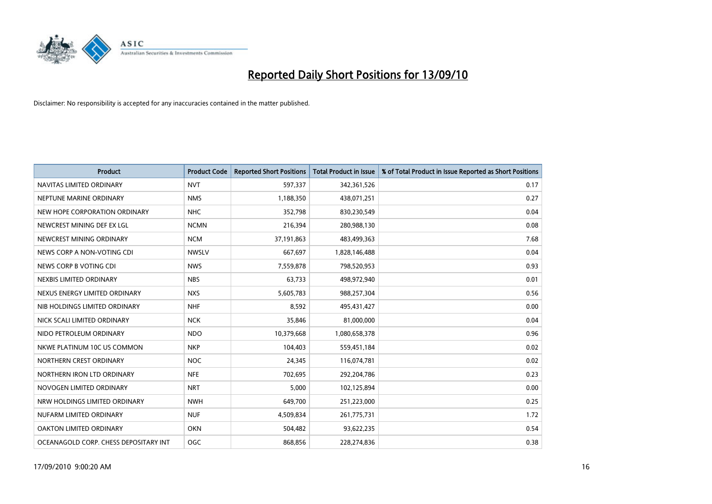

| <b>Product</b>                        | <b>Product Code</b> | <b>Reported Short Positions</b> | Total Product in Issue | % of Total Product in Issue Reported as Short Positions |
|---------------------------------------|---------------------|---------------------------------|------------------------|---------------------------------------------------------|
| NAVITAS LIMITED ORDINARY              | <b>NVT</b>          | 597,337                         | 342,361,526            | 0.17                                                    |
| NEPTUNE MARINE ORDINARY               | <b>NMS</b>          | 1,188,350                       | 438,071,251            | 0.27                                                    |
| NEW HOPE CORPORATION ORDINARY         | <b>NHC</b>          | 352,798                         | 830,230,549            | 0.04                                                    |
| NEWCREST MINING DEF EX LGL            | <b>NCMN</b>         | 216,394                         | 280,988,130            | 0.08                                                    |
| NEWCREST MINING ORDINARY              | <b>NCM</b>          | 37,191,863                      | 483,499,363            | 7.68                                                    |
| NEWS CORP A NON-VOTING CDI            | <b>NWSLV</b>        | 667,697                         | 1,828,146,488          | 0.04                                                    |
| NEWS CORP B VOTING CDI                | <b>NWS</b>          | 7,559,878                       | 798,520,953            | 0.93                                                    |
| NEXBIS LIMITED ORDINARY               | <b>NBS</b>          | 63,733                          | 498,972,940            | 0.01                                                    |
| NEXUS ENERGY LIMITED ORDINARY         | <b>NXS</b>          | 5,605,783                       | 988,257,304            | 0.56                                                    |
| NIB HOLDINGS LIMITED ORDINARY         | <b>NHF</b>          | 8,592                           | 495,431,427            | 0.00                                                    |
| NICK SCALI LIMITED ORDINARY           | <b>NCK</b>          | 35,846                          | 81,000,000             | 0.04                                                    |
| NIDO PETROLEUM ORDINARY               | <b>NDO</b>          | 10,379,668                      | 1,080,658,378          | 0.96                                                    |
| NKWE PLATINUM 10C US COMMON           | <b>NKP</b>          | 104,403                         | 559,451,184            | 0.02                                                    |
| NORTHERN CREST ORDINARY               | <b>NOC</b>          | 24,345                          | 116,074,781            | 0.02                                                    |
| NORTHERN IRON LTD ORDINARY            | <b>NFE</b>          | 702,695                         | 292,204,786            | 0.23                                                    |
| NOVOGEN LIMITED ORDINARY              | <b>NRT</b>          | 5,000                           | 102,125,894            | 0.00                                                    |
| NRW HOLDINGS LIMITED ORDINARY         | <b>NWH</b>          | 649,700                         | 251,223,000            | 0.25                                                    |
| NUFARM LIMITED ORDINARY               | <b>NUF</b>          | 4,509,834                       | 261,775,731            | 1.72                                                    |
| OAKTON LIMITED ORDINARY               | <b>OKN</b>          | 504,482                         | 93,622,235             | 0.54                                                    |
| OCEANAGOLD CORP. CHESS DEPOSITARY INT | <b>OGC</b>          | 868.856                         | 228,274,836            | 0.38                                                    |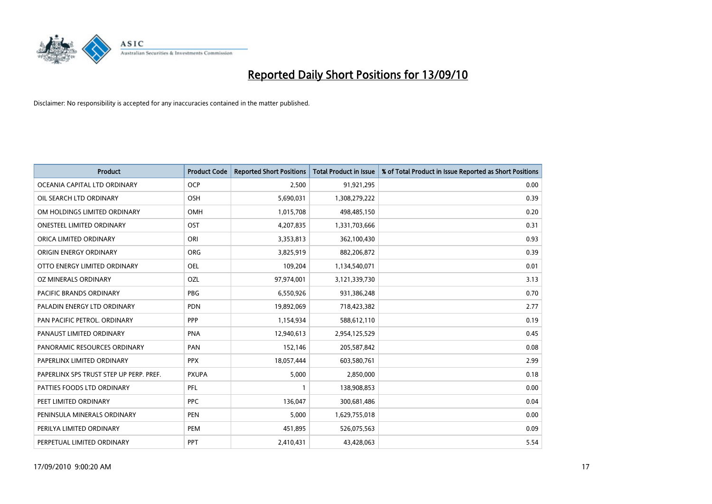

| <b>Product</b>                          | <b>Product Code</b> | <b>Reported Short Positions</b> | <b>Total Product in Issue</b> | % of Total Product in Issue Reported as Short Positions |
|-----------------------------------------|---------------------|---------------------------------|-------------------------------|---------------------------------------------------------|
| OCEANIA CAPITAL LTD ORDINARY            | <b>OCP</b>          | 2,500                           | 91,921,295                    | 0.00                                                    |
| OIL SEARCH LTD ORDINARY                 | OSH                 | 5,690,031                       | 1,308,279,222                 | 0.39                                                    |
| OM HOLDINGS LIMITED ORDINARY            | <b>OMH</b>          | 1,015,708                       | 498,485,150                   | 0.20                                                    |
| ONESTEEL LIMITED ORDINARY               | OST                 | 4,207,835                       | 1,331,703,666                 | 0.31                                                    |
| ORICA LIMITED ORDINARY                  | ORI                 | 3,353,813                       | 362,100,430                   | 0.93                                                    |
| ORIGIN ENERGY ORDINARY                  | <b>ORG</b>          | 3,825,919                       | 882,206,872                   | 0.39                                                    |
| OTTO ENERGY LIMITED ORDINARY            | <b>OEL</b>          | 109,204                         | 1,134,540,071                 | 0.01                                                    |
| OZ MINERALS ORDINARY                    | OZL                 | 97,974,001                      | 3,121,339,730                 | 3.13                                                    |
| <b>PACIFIC BRANDS ORDINARY</b>          | <b>PBG</b>          | 6,550,926                       | 931,386,248                   | 0.70                                                    |
| PALADIN ENERGY LTD ORDINARY             | <b>PDN</b>          | 19,892,069                      | 718,423,382                   | 2.77                                                    |
| PAN PACIFIC PETROL. ORDINARY            | PPP                 | 1,154,934                       | 588,612,110                   | 0.19                                                    |
| PANAUST LIMITED ORDINARY                | <b>PNA</b>          | 12,940,613                      | 2,954,125,529                 | 0.45                                                    |
| PANORAMIC RESOURCES ORDINARY            | PAN                 | 152,146                         | 205,587,842                   | 0.08                                                    |
| PAPERLINX LIMITED ORDINARY              | <b>PPX</b>          | 18,057,444                      | 603,580,761                   | 2.99                                                    |
| PAPERLINX SPS TRUST STEP UP PERP. PREF. | <b>PXUPA</b>        | 5,000                           | 2,850,000                     | 0.18                                                    |
| PATTIES FOODS LTD ORDINARY              | PFL                 |                                 | 138,908,853                   | 0.00                                                    |
| PEET LIMITED ORDINARY                   | <b>PPC</b>          | 136,047                         | 300,681,486                   | 0.04                                                    |
| PENINSULA MINERALS ORDINARY             | <b>PEN</b>          | 5,000                           | 1,629,755,018                 | 0.00                                                    |
| PERILYA LIMITED ORDINARY                | PEM                 | 451,895                         | 526,075,563                   | 0.09                                                    |
| PERPETUAL LIMITED ORDINARY              | <b>PPT</b>          | 2,410,431                       | 43,428,063                    | 5.54                                                    |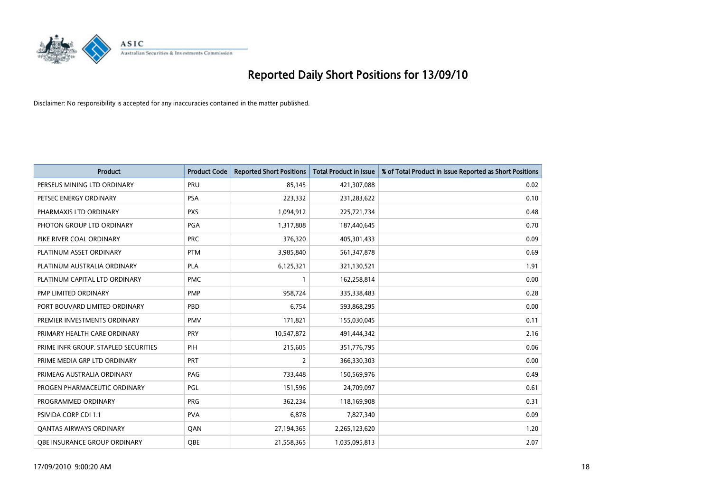

| <b>Product</b>                       | <b>Product Code</b> | <b>Reported Short Positions</b> | <b>Total Product in Issue</b> | % of Total Product in Issue Reported as Short Positions |
|--------------------------------------|---------------------|---------------------------------|-------------------------------|---------------------------------------------------------|
| PERSEUS MINING LTD ORDINARY          | PRU                 | 85,145                          | 421,307,088                   | 0.02                                                    |
| PETSEC ENERGY ORDINARY               | <b>PSA</b>          | 223,332                         | 231,283,622                   | 0.10                                                    |
| PHARMAXIS LTD ORDINARY               | <b>PXS</b>          | 1,094,912                       | 225,721,734                   | 0.48                                                    |
| PHOTON GROUP LTD ORDINARY            | <b>PGA</b>          | 1,317,808                       | 187,440,645                   | 0.70                                                    |
| PIKE RIVER COAL ORDINARY             | <b>PRC</b>          | 376,320                         | 405,301,433                   | 0.09                                                    |
| PLATINUM ASSET ORDINARY              | <b>PTM</b>          | 3,985,840                       | 561,347,878                   | 0.69                                                    |
| PLATINUM AUSTRALIA ORDINARY          | <b>PLA</b>          | 6,125,321                       | 321,130,521                   | 1.91                                                    |
| PLATINUM CAPITAL LTD ORDINARY        | <b>PMC</b>          |                                 | 162,258,814                   | 0.00                                                    |
| PMP LIMITED ORDINARY                 | <b>PMP</b>          | 958,724                         | 335,338,483                   | 0.28                                                    |
| PORT BOUVARD LIMITED ORDINARY        | PBD                 | 6,754                           | 593,868,295                   | 0.00                                                    |
| PREMIER INVESTMENTS ORDINARY         | <b>PMV</b>          | 171,821                         | 155,030,045                   | 0.11                                                    |
| PRIMARY HEALTH CARE ORDINARY         | <b>PRY</b>          | 10,547,872                      | 491,444,342                   | 2.16                                                    |
| PRIME INFR GROUP. STAPLED SECURITIES | PIH                 | 215,605                         | 351,776,795                   | 0.06                                                    |
| PRIME MEDIA GRP LTD ORDINARY         | PRT                 | 2                               | 366,330,303                   | 0.00                                                    |
| PRIMEAG AUSTRALIA ORDINARY           | PAG                 | 733,448                         | 150,569,976                   | 0.49                                                    |
| PROGEN PHARMACEUTIC ORDINARY         | <b>PGL</b>          | 151,596                         | 24,709,097                    | 0.61                                                    |
| PROGRAMMED ORDINARY                  | PRG                 | 362,234                         | 118,169,908                   | 0.31                                                    |
| PSIVIDA CORP CDI 1:1                 | <b>PVA</b>          | 6,878                           | 7,827,340                     | 0.09                                                    |
| <b>QANTAS AIRWAYS ORDINARY</b>       | QAN                 | 27,194,365                      | 2,265,123,620                 | 1.20                                                    |
| OBE INSURANCE GROUP ORDINARY         | <b>OBE</b>          | 21,558,365                      | 1,035,095,813                 | 2.07                                                    |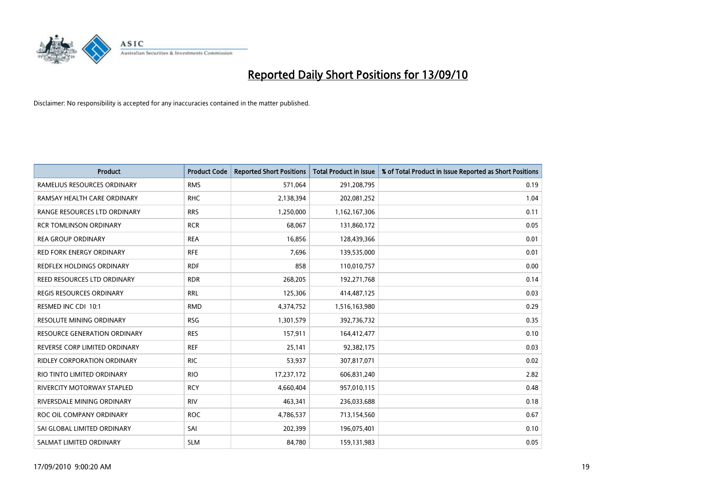

| <b>Product</b>                      | <b>Product Code</b> | <b>Reported Short Positions</b> | Total Product in Issue | % of Total Product in Issue Reported as Short Positions |
|-------------------------------------|---------------------|---------------------------------|------------------------|---------------------------------------------------------|
| RAMELIUS RESOURCES ORDINARY         | <b>RMS</b>          | 571,064                         | 291,208,795            | 0.19                                                    |
| RAMSAY HEALTH CARE ORDINARY         | <b>RHC</b>          | 2,138,394                       | 202,081,252            | 1.04                                                    |
| RANGE RESOURCES LTD ORDINARY        | <b>RRS</b>          | 1,250,000                       | 1,162,167,306          | 0.11                                                    |
| <b>RCR TOMLINSON ORDINARY</b>       | <b>RCR</b>          | 68,067                          | 131,860,172            | 0.05                                                    |
| <b>REA GROUP ORDINARY</b>           | <b>REA</b>          | 16,856                          | 128,439,366            | 0.01                                                    |
| <b>RED FORK ENERGY ORDINARY</b>     | <b>RFE</b>          | 7,696                           | 139,535,000            | 0.01                                                    |
| REDFLEX HOLDINGS ORDINARY           | <b>RDF</b>          | 858                             | 110,010,757            | 0.00                                                    |
| REED RESOURCES LTD ORDINARY         | <b>RDR</b>          | 268,205                         | 192,271,768            | 0.14                                                    |
| <b>REGIS RESOURCES ORDINARY</b>     | <b>RRL</b>          | 125,306                         | 414,487,125            | 0.03                                                    |
| RESMED INC CDI 10:1                 | <b>RMD</b>          | 4,374,752                       | 1,516,163,980          | 0.29                                                    |
| RESOLUTE MINING ORDINARY            | <b>RSG</b>          | 1,301,579                       | 392,736,732            | 0.35                                                    |
| <b>RESOURCE GENERATION ORDINARY</b> | <b>RES</b>          | 157,911                         | 164,412,477            | 0.10                                                    |
| REVERSE CORP LIMITED ORDINARY       | <b>REF</b>          | 25,141                          | 92,382,175             | 0.03                                                    |
| <b>RIDLEY CORPORATION ORDINARY</b>  | <b>RIC</b>          | 53,937                          | 307,817,071            | 0.02                                                    |
| RIO TINTO LIMITED ORDINARY          | <b>RIO</b>          | 17,237,172                      | 606,831,240            | 2.82                                                    |
| RIVERCITY MOTORWAY STAPLED          | <b>RCY</b>          | 4,660,404                       | 957,010,115            | 0.48                                                    |
| RIVERSDALE MINING ORDINARY          | <b>RIV</b>          | 463,341                         | 236,033,688            | 0.18                                                    |
| ROC OIL COMPANY ORDINARY            | <b>ROC</b>          | 4,786,537                       | 713,154,560            | 0.67                                                    |
| SAI GLOBAL LIMITED ORDINARY         | SAI                 | 202,399                         | 196,075,401            | 0.10                                                    |
| SALMAT LIMITED ORDINARY             | <b>SLM</b>          | 84,780                          | 159,131,983            | 0.05                                                    |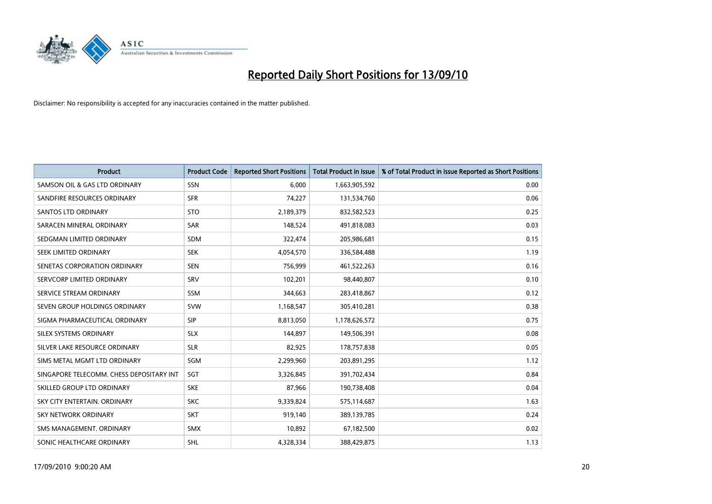

| <b>Product</b>                           | <b>Product Code</b> | <b>Reported Short Positions</b> | <b>Total Product in Issue</b> | % of Total Product in Issue Reported as Short Positions |
|------------------------------------------|---------------------|---------------------------------|-------------------------------|---------------------------------------------------------|
| SAMSON OIL & GAS LTD ORDINARY            | SSN                 | 6.000                           | 1,663,905,592                 | 0.00                                                    |
| SANDFIRE RESOURCES ORDINARY              | <b>SFR</b>          | 74,227                          | 131,534,760                   | 0.06                                                    |
| <b>SANTOS LTD ORDINARY</b>               | <b>STO</b>          | 2,189,379                       | 832,582,523                   | 0.25                                                    |
| SARACEN MINERAL ORDINARY                 | <b>SAR</b>          | 148,524                         | 491,818,083                   | 0.03                                                    |
| SEDGMAN LIMITED ORDINARY                 | <b>SDM</b>          | 322,474                         | 205,986,681                   | 0.15                                                    |
| SEEK LIMITED ORDINARY                    | <b>SEK</b>          | 4,054,570                       | 336,584,488                   | 1.19                                                    |
| SENETAS CORPORATION ORDINARY             | <b>SEN</b>          | 756,999                         | 461,522,263                   | 0.16                                                    |
| SERVCORP LIMITED ORDINARY                | SRV                 | 102,201                         | 98,440,807                    | 0.10                                                    |
| SERVICE STREAM ORDINARY                  | <b>SSM</b>          | 344,663                         | 283,418,867                   | 0.12                                                    |
| SEVEN GROUP HOLDINGS ORDINARY            | <b>SVW</b>          | 1,168,547                       | 305,410,281                   | 0.38                                                    |
| SIGMA PHARMACEUTICAL ORDINARY            | SIP                 | 8,813,050                       | 1,178,626,572                 | 0.75                                                    |
| SILEX SYSTEMS ORDINARY                   | <b>SLX</b>          | 144,897                         | 149,506,391                   | 0.08                                                    |
| SILVER LAKE RESOURCE ORDINARY            | <b>SLR</b>          | 82,925                          | 178,757,838                   | 0.05                                                    |
| SIMS METAL MGMT LTD ORDINARY             | SGM                 | 2,299,960                       | 203,891,295                   | 1.12                                                    |
| SINGAPORE TELECOMM. CHESS DEPOSITARY INT | SGT                 | 3,326,845                       | 391,702,434                   | 0.84                                                    |
| SKILLED GROUP LTD ORDINARY               | <b>SKE</b>          | 87,966                          | 190,738,408                   | 0.04                                                    |
| SKY CITY ENTERTAIN. ORDINARY             | <b>SKC</b>          | 9,339,824                       | 575,114,687                   | 1.63                                                    |
| SKY NETWORK ORDINARY                     | <b>SKT</b>          | 919,140                         | 389,139,785                   | 0.24                                                    |
| SMS MANAGEMENT, ORDINARY                 | <b>SMX</b>          | 10,892                          | 67,182,500                    | 0.02                                                    |
| SONIC HEALTHCARE ORDINARY                | SHL                 | 4,328,334                       | 388,429,875                   | 1.13                                                    |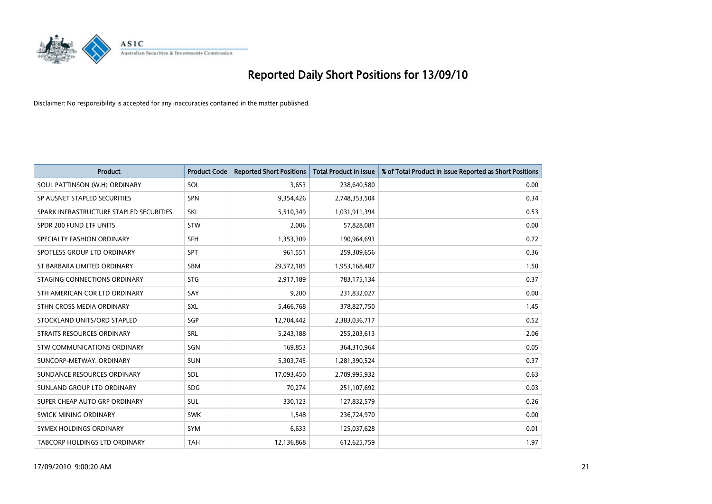

| <b>Product</b>                          | <b>Product Code</b> | <b>Reported Short Positions</b> | <b>Total Product in Issue</b> | % of Total Product in Issue Reported as Short Positions |
|-----------------------------------------|---------------------|---------------------------------|-------------------------------|---------------------------------------------------------|
| SOUL PATTINSON (W.H) ORDINARY           | SOL                 | 3,653                           | 238,640,580                   | 0.00                                                    |
| SP AUSNET STAPLED SECURITIES            | <b>SPN</b>          | 9,354,426                       | 2,748,353,504                 | 0.34                                                    |
| SPARK INFRASTRUCTURE STAPLED SECURITIES | SKI                 | 5,510,349                       | 1,031,911,394                 | 0.53                                                    |
| SPDR 200 FUND ETF UNITS                 | <b>STW</b>          | 2,006                           | 57,828,081                    | 0.00                                                    |
| SPECIALTY FASHION ORDINARY              | <b>SFH</b>          | 1,353,309                       | 190,964,693                   | 0.72                                                    |
| SPOTLESS GROUP LTD ORDINARY             | SPT                 | 961,551                         | 259,309,656                   | 0.36                                                    |
| ST BARBARA LIMITED ORDINARY             | <b>SBM</b>          | 29,572,185                      | 1,953,168,407                 | 1.50                                                    |
| STAGING CONNECTIONS ORDINARY            | <b>STG</b>          | 2,917,189                       | 783,175,134                   | 0.37                                                    |
| STH AMERICAN COR LTD ORDINARY           | SAY                 | 9,200                           | 231,832,027                   | 0.00                                                    |
| STHN CROSS MEDIA ORDINARY               | SXL                 | 5,466,768                       | 378,827,750                   | 1.45                                                    |
| STOCKLAND UNITS/ORD STAPLED             | SGP                 | 12,704,442                      | 2,383,036,717                 | 0.52                                                    |
| <b>STRAITS RESOURCES ORDINARY</b>       | SRL                 | 5,243,188                       | 255,203,613                   | 2.06                                                    |
| STW COMMUNICATIONS ORDINARY             | SGN                 | 169,853                         | 364,310,964                   | 0.05                                                    |
| SUNCORP-METWAY, ORDINARY                | SUN                 | 5,303,745                       | 1,281,390,524                 | 0.37                                                    |
| SUNDANCE RESOURCES ORDINARY             | <b>SDL</b>          | 17,093,450                      | 2,709,995,932                 | 0.63                                                    |
| SUNLAND GROUP LTD ORDINARY              | <b>SDG</b>          | 70,274                          | 251,107,692                   | 0.03                                                    |
| SUPER CHEAP AUTO GRP ORDINARY           | <b>SUL</b>          | 330,123                         | 127,832,579                   | 0.26                                                    |
| SWICK MINING ORDINARY                   | <b>SWK</b>          | 1,548                           | 236,724,970                   | 0.00                                                    |
| SYMEX HOLDINGS ORDINARY                 | SYM                 | 6,633                           | 125,037,628                   | 0.01                                                    |
| <b>TABCORP HOLDINGS LTD ORDINARY</b>    | <b>TAH</b>          | 12,136,868                      | 612,625,759                   | 1.97                                                    |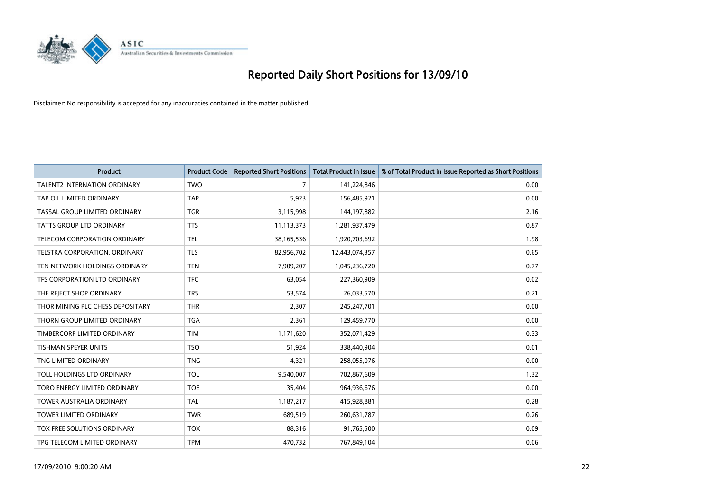

| <b>Product</b>                      | <b>Product Code</b> | <b>Reported Short Positions</b> | <b>Total Product in Issue</b> | % of Total Product in Issue Reported as Short Positions |
|-------------------------------------|---------------------|---------------------------------|-------------------------------|---------------------------------------------------------|
| <b>TALENT2 INTERNATION ORDINARY</b> | <b>TWO</b>          | $\overline{7}$                  | 141,224,846                   | 0.00                                                    |
| TAP OIL LIMITED ORDINARY            | <b>TAP</b>          | 5,923                           | 156,485,921                   | 0.00                                                    |
| TASSAL GROUP LIMITED ORDINARY       | <b>TGR</b>          | 3,115,998                       | 144,197,882                   | 2.16                                                    |
| TATTS GROUP LTD ORDINARY            | <b>TTS</b>          | 11,113,373                      | 1,281,937,479                 | 0.87                                                    |
| TELECOM CORPORATION ORDINARY        | <b>TEL</b>          | 38,165,536                      | 1,920,703,692                 | 1.98                                                    |
| TELSTRA CORPORATION. ORDINARY       | <b>TLS</b>          | 82,956,702                      | 12,443,074,357                | 0.65                                                    |
| TEN NETWORK HOLDINGS ORDINARY       | <b>TEN</b>          | 7,909,207                       | 1,045,236,720                 | 0.77                                                    |
| TFS CORPORATION LTD ORDINARY        | <b>TFC</b>          | 63,054                          | 227,360,909                   | 0.02                                                    |
| THE REJECT SHOP ORDINARY            | <b>TRS</b>          | 53,574                          | 26,033,570                    | 0.21                                                    |
| THOR MINING PLC CHESS DEPOSITARY    | <b>THR</b>          | 2,307                           | 245,247,701                   | 0.00                                                    |
| THORN GROUP LIMITED ORDINARY        | <b>TGA</b>          | 2,361                           | 129,459,770                   | 0.00                                                    |
| TIMBERCORP LIMITED ORDINARY         | <b>TIM</b>          | 1,171,620                       | 352,071,429                   | 0.33                                                    |
| <b>TISHMAN SPEYER UNITS</b>         | <b>TSO</b>          | 51,924                          | 338,440,904                   | 0.01                                                    |
| TNG LIMITED ORDINARY                | <b>TNG</b>          | 4,321                           | 258,055,076                   | 0.00                                                    |
| TOLL HOLDINGS LTD ORDINARY          | <b>TOL</b>          | 9,540,007                       | 702,867,609                   | 1.32                                                    |
| TORO ENERGY LIMITED ORDINARY        | <b>TOE</b>          | 35,404                          | 964,936,676                   | 0.00                                                    |
| <b>TOWER AUSTRALIA ORDINARY</b>     | <b>TAL</b>          | 1,187,217                       | 415,928,881                   | 0.28                                                    |
| TOWER LIMITED ORDINARY              | <b>TWR</b>          | 689,519                         | 260,631,787                   | 0.26                                                    |
| <b>TOX FREE SOLUTIONS ORDINARY</b>  | <b>TOX</b>          | 88,316                          | 91,765,500                    | 0.09                                                    |
| TPG TELECOM LIMITED ORDINARY        | <b>TPM</b>          | 470.732                         | 767,849,104                   | 0.06                                                    |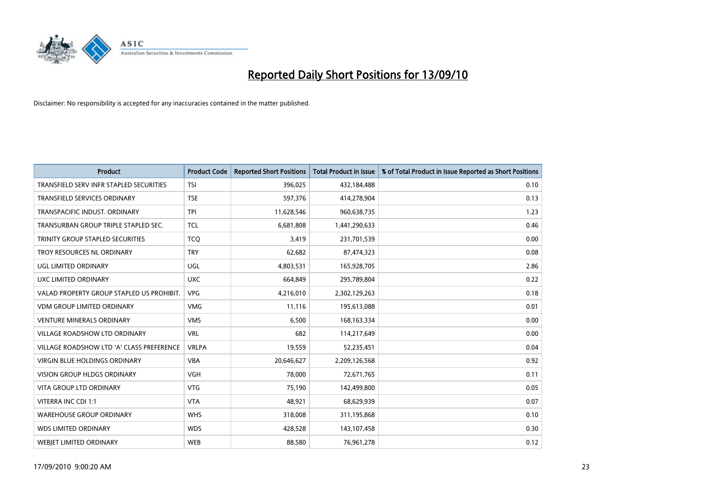

| <b>Product</b>                            | <b>Product Code</b> | <b>Reported Short Positions</b> | Total Product in Issue | % of Total Product in Issue Reported as Short Positions |
|-------------------------------------------|---------------------|---------------------------------|------------------------|---------------------------------------------------------|
| TRANSFIELD SERV INFR STAPLED SECURITIES   | <b>TSI</b>          | 396,025                         | 432,184,488            | 0.10                                                    |
| TRANSFIELD SERVICES ORDINARY              | <b>TSE</b>          | 597,376                         | 414,278,904            | 0.13                                                    |
| TRANSPACIFIC INDUST, ORDINARY             | <b>TPI</b>          | 11,628,546                      | 960,638,735            | 1.23                                                    |
| TRANSURBAN GROUP TRIPLE STAPLED SEC.      | <b>TCL</b>          | 6,681,808                       | 1,441,290,633          | 0.46                                                    |
| TRINITY GROUP STAPLED SECURITIES          | <b>TCO</b>          | 3,419                           | 231,701,539            | 0.00                                                    |
| TROY RESOURCES NL ORDINARY                | <b>TRY</b>          | 62,682                          | 87,474,323             | 0.08                                                    |
| UGL LIMITED ORDINARY                      | UGL                 | 4,803,531                       | 165,928,705            | 2.86                                                    |
| UXC LIMITED ORDINARY                      | <b>UXC</b>          | 664,849                         | 295,789,804            | 0.22                                                    |
| VALAD PROPERTY GROUP STAPLED US PROHIBIT. | <b>VPG</b>          | 4,216,010                       | 2,302,129,263          | 0.18                                                    |
| <b>VDM GROUP LIMITED ORDINARY</b>         | <b>VMG</b>          | 11,116                          | 195,613,088            | 0.01                                                    |
| VENTURE MINERALS ORDINARY                 | <b>VMS</b>          | 6,500                           | 168, 163, 334          | 0.00                                                    |
| <b>VILLAGE ROADSHOW LTD ORDINARY</b>      | <b>VRL</b>          | 682                             | 114,217,649            | 0.00                                                    |
| VILLAGE ROADSHOW LTD 'A' CLASS PREFERENCE | <b>VRLPA</b>        | 19,559                          | 52,235,451             | 0.04                                                    |
| <b>VIRGIN BLUE HOLDINGS ORDINARY</b>      | <b>VBA</b>          | 20,646,627                      | 2,209,126,568          | 0.92                                                    |
| <b>VISION GROUP HLDGS ORDINARY</b>        | <b>VGH</b>          | 78,000                          | 72,671,765             | 0.11                                                    |
| <b>VITA GROUP LTD ORDINARY</b>            | <b>VTG</b>          | 75,190                          | 142,499,800            | 0.05                                                    |
| VITERRA INC CDI 1:1                       | <b>VTA</b>          | 48,921                          | 68,629,939             | 0.07                                                    |
| <b>WAREHOUSE GROUP ORDINARY</b>           | <b>WHS</b>          | 318,008                         | 311,195,868            | 0.10                                                    |
| <b>WDS LIMITED ORDINARY</b>               | <b>WDS</b>          | 428,528                         | 143,107,458            | 0.30                                                    |
| WEBJET LIMITED ORDINARY                   | <b>WEB</b>          | 88,580                          | 76,961,278             | 0.12                                                    |